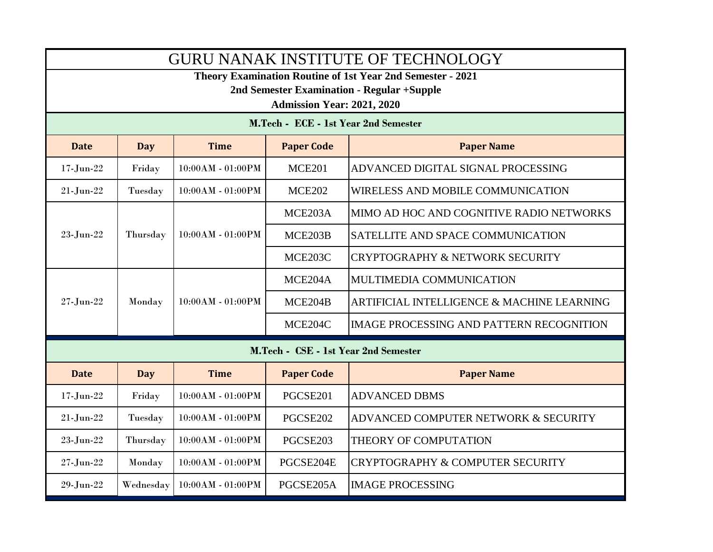| <b>GURU NANAK INSTITUTE OF TECHNOLOGY</b>                                                                       |            |                     |                   |                                                       |  |  |  |  |
|-----------------------------------------------------------------------------------------------------------------|------------|---------------------|-------------------|-------------------------------------------------------|--|--|--|--|
| <b>Theory Examination Routine of 1st Year 2nd Semester - 2021</b><br>2nd Semester Examination - Regular +Supple |            |                     |                   |                                                       |  |  |  |  |
| <b>Admission Year: 2021, 2020</b>                                                                               |            |                     |                   |                                                       |  |  |  |  |
| M.Tech - ECE - 1st Year 2nd Semester                                                                            |            |                     |                   |                                                       |  |  |  |  |
| <b>Date</b>                                                                                                     | <b>Day</b> | <b>Time</b>         | <b>Paper Code</b> | <b>Paper Name</b>                                     |  |  |  |  |
| $17 - Jun-22$                                                                                                   | Friday     | 10:00AM - 01:00PM   | <b>MCE201</b>     | ADVANCED DIGITAL SIGNAL PROCESSING                    |  |  |  |  |
| $21$ -Jun- $22$                                                                                                 | Tuesday    | $10:00AM - 01:00PM$ | <b>MCE202</b>     | WIRELESS AND MOBILE COMMUNICATION                     |  |  |  |  |
|                                                                                                                 |            |                     | MCE203A           | MIMO AD HOC AND COGNITIVE RADIO NETWORKS              |  |  |  |  |
| 23-Jun-22                                                                                                       | Thursday   | 10:00AM - 01:00PM   | MCE203B           | SATELLITE AND SPACE COMMUNICATION                     |  |  |  |  |
|                                                                                                                 |            |                     | MCE203C           | <b>CRYPTOGRAPHY &amp; NETWORK SECURITY</b>            |  |  |  |  |
|                                                                                                                 |            |                     | MCE204A           | MULTIMEDIA COMMUNICATION                              |  |  |  |  |
| $27 - Jun-22$                                                                                                   | Monday     | 10:00AM - 01:00PM   | MCE204B           | <b>ARTIFICIAL INTELLIGENCE &amp; MACHINE LEARNING</b> |  |  |  |  |
|                                                                                                                 |            |                     | MCE204C           | <b>IMAGE PROCESSING AND PATTERN RECOGNITION</b>       |  |  |  |  |
| M.Tech - CSE - 1st Year 2nd Semester                                                                            |            |                     |                   |                                                       |  |  |  |  |
| <b>Date</b>                                                                                                     | <b>Day</b> | <b>Time</b>         | <b>Paper Code</b> | <b>Paper Name</b>                                     |  |  |  |  |
| $17 - Jun-22$                                                                                                   | Friday     | 10:00AM - 01:00PM   | PGCSE201          | <b>ADVANCED DBMS</b>                                  |  |  |  |  |
| $21 - Jun-22$                                                                                                   | Tuesday    | 10:00AM - 01:00PM   | PGCSE202          | ADVANCED COMPUTER NETWORK & SECURITY                  |  |  |  |  |
| $23\mbox{-}\mathrm{Jun}\mbox{-}22$                                                                              | Thursday   | 10:00AM - 01:00PM   | PGCSE203          | THEORY OF COMPUTATION                                 |  |  |  |  |
| $27 - Jun-22$                                                                                                   | Monday     | 10:00AM - 01:00PM   | PGCSE204E         | CRYPTOGRAPHY & COMPUTER SECURITY                      |  |  |  |  |
| 29-Jun-22                                                                                                       | Wednesday  | 10:00AM - 01:00PM   | PGCSE205A         | <b>IMAGE PROCESSING</b>                               |  |  |  |  |